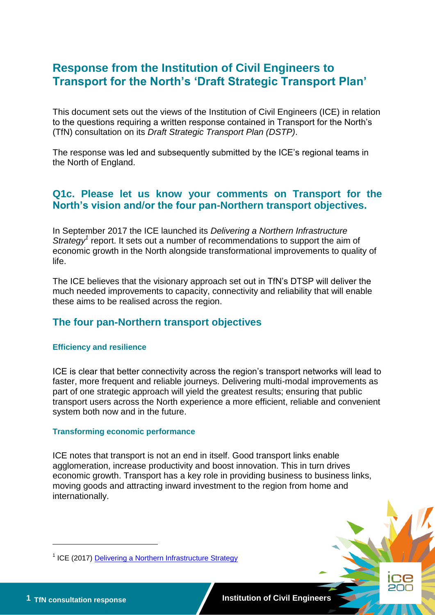# **Response from the Institution of Civil Engineers to Transport for the North's 'Draft Strategic Transport Plan'**

This document sets out the views of the Institution of Civil Engineers (ICE) in relation to the questions requiring a written response contained in Transport for the North's (TfN) consultation on its *Draft Strategic Transport Plan (DSTP)*.

The response was led and subsequently submitted by the ICE's regional teams in the North of England.

## **Q1c. Please let us know your comments on Transport for the North's vision and/or the four pan-Northern transport objectives.**

In September 2017 the ICE launched its *Delivering a Northern Infrastructure*  Strategy<sup>1</sup> report. It sets out a number of recommendations to support the aim of economic growth in the North alongside transformational improvements to quality of life.

The ICE believes that the visionary approach set out in TfN's DTSP will deliver the much needed improvements to capacity, connectivity and reliability that will enable these aims to be realised across the region.

# **The four pan-Northern transport objectives**

#### **Efficiency and resilience**

ICE is clear that better connectivity across the region's transport networks will lead to faster, more frequent and reliable journeys. Delivering multi-modal improvements as part of one strategic approach will yield the greatest results; ensuring that public transport users across the North experience a more efficient, reliable and convenient system both now and in the future.

#### **Transforming economic performance**

ICE notes that transport is not an end in itself. Good transport links enable agglomeration, increase productivity and boost innovation. This in turn drives economic growth. Transport has a key role in providing business to business links, moving goods and attracting inward investment to the region from home and internationally.

-

<sup>&</sup>lt;sup>1</sup> ICE (2017) **Delivering a Northern Infrastructure Strategy**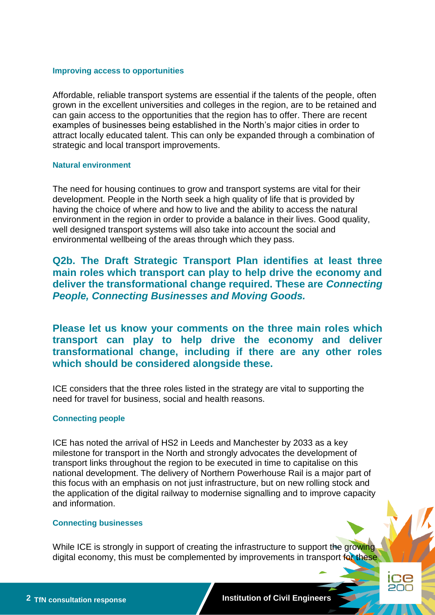#### **Improving access to opportunities**

Affordable, reliable transport systems are essential if the talents of the people, often grown in the excellent universities and colleges in the region, are to be retained and can gain access to the opportunities that the region has to offer. There are recent examples of businesses being established in the North's major cities in order to attract locally educated talent. This can only be expanded through a combination of strategic and local transport improvements.

### **Natural environment**

The need for housing continues to grow and transport systems are vital for their development. People in the North seek a high quality of life that is provided by having the choice of where and how to live and the ability to access the natural environment in the region in order to provide a balance in their lives. Good quality, well designed transport systems will also take into account the social and environmental wellbeing of the areas through which they pass.

**Q2b. The Draft Strategic Transport Plan identifies at least three main roles which transport can play to help drive the economy and deliver the transformational change required. These are** *Connecting People, Connecting Businesses and Moving Goods.*

**Please let us know your comments on the three main roles which transport can play to help drive the economy and deliver transformational change, including if there are any other roles which should be considered alongside these.** 

ICE considers that the three roles listed in the strategy are vital to supporting the need for travel for business, social and health reasons.

## **Connecting people**

ICE has noted the arrival of HS2 in Leeds and Manchester by 2033 as a key milestone for transport in the North and strongly advocates the development of transport links throughout the region to be executed in time to capitalise on this national development. The delivery of Northern Powerhouse Rail is a major part of this focus with an emphasis on not just infrastructure, but on new rolling stock and the application of the digital railway to modernise signalling and to improve capacity and information.

#### **Connecting businesses**

While ICE is strongly in support of creating the infrastructure to support the growing digital economy, this must be complemented by improvements in transport for these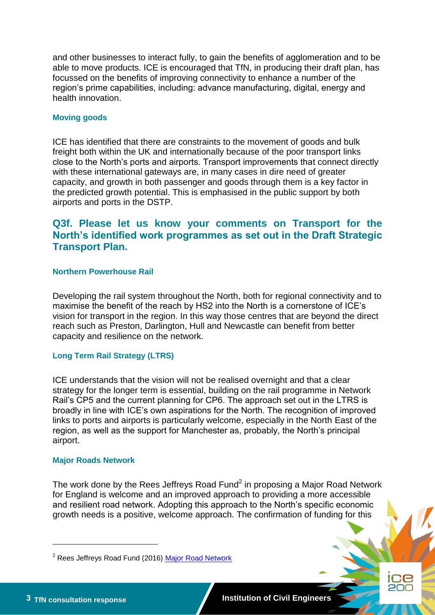and other businesses to interact fully, to gain the benefits of agglomeration and to be able to move products. ICE is encouraged that TfN, in producing their draft plan, has focussed on the benefits of improving connectivity to enhance a number of the region's prime capabilities, including: advance manufacturing, digital, energy and health innovation.

## **Moving goods**

ICE has identified that there are constraints to the movement of goods and bulk freight both within the UK and internationally because of the poor transport links close to the North's ports and airports. Transport improvements that connect directly with these international gateways are, in many cases in dire need of greater capacity, and growth in both passenger and goods through them is a key factor in the predicted growth potential. This is emphasised in the public support by both airports and ports in the DSTP.

# **Q3f. Please let us know your comments on Transport for the North's identified work programmes as set out in the Draft Strategic Transport Plan.**

## **Northern Powerhouse Rail**

Developing the rail system throughout the North, both for regional connectivity and to maximise the benefit of the reach by HS2 into the North is a cornerstone of ICE's vision for transport in the region. In this way those centres that are beyond the direct reach such as Preston, Darlington, Hull and Newcastle can benefit from better capacity and resilience on the network.

## **Long Term Rail Strategy (LTRS)**

ICE understands that the vision will not be realised overnight and that a clear strategy for the longer term is essential, building on the rail programme in Network Rail's CP5 and the current planning for CP6. The approach set out in the LTRS is broadly in line with ICE's own aspirations for the North. The recognition of improved links to ports and airports is particularly welcome, especially in the North East of the region, as well as the support for Manchester as, probably, the North's principal airport.

## **Major Roads Network**

The work done by the Rees Jeffreys Road Fund<sup>2</sup> in proposing a Major Road Network for England is welcome and an improved approach to providing a more accessible and resilient road network. Adopting this approach to the North's specific economic growth needs is a positive, welcome approach. The confirmation of funding for this

-

<sup>&</sup>lt;sup>2</sup> Rees Jeffreys Road Fund (2016) [Major Road Network](http://www.reesjeffreys.co.uk/funding-policy/)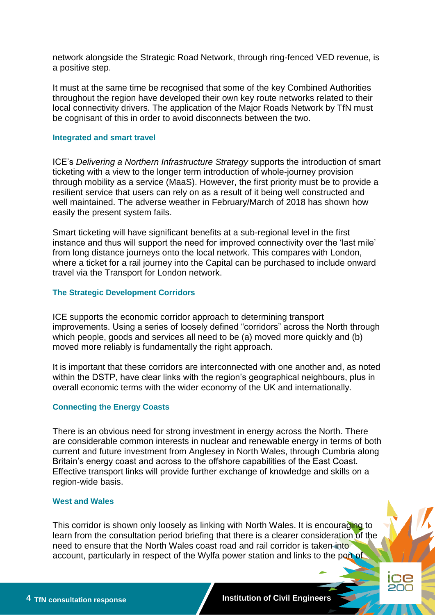network alongside the Strategic Road Network, through ring-fenced VED revenue, is a positive step.

It must at the same time be recognised that some of the key Combined Authorities throughout the region have developed their own key route networks related to their local connectivity drivers. The application of the Major Roads Network by TfN must be cognisant of this in order to avoid disconnects between the two.

#### **Integrated and smart travel**

ICE's *Delivering a Northern Infrastructure Strategy* supports the introduction of smart ticketing with a view to the longer term introduction of whole-journey provision through mobility as a service (MaaS). However, the first priority must be to provide a resilient service that users can rely on as a result of it being well constructed and well maintained. The adverse weather in February/March of 2018 has shown how easily the present system fails.

Smart ticketing will have significant benefits at a sub-regional level in the first instance and thus will support the need for improved connectivity over the 'last mile' from long distance journeys onto the local network. This compares with London, where a ticket for a rail journey into the Capital can be purchased to include onward travel via the Transport for London network.

## **The Strategic Development Corridors**

ICE supports the economic corridor approach to determining transport improvements. Using a series of loosely defined "corridors" across the North through which people, goods and services all need to be (a) moved more quickly and (b) moved more reliably is fundamentally the right approach.

It is important that these corridors are interconnected with one another and, as noted within the DSTP, have clear links with the region's geographical neighbours, plus in overall economic terms with the wider economy of the UK and internationally.

#### **Connecting the Energy Coasts**

There is an obvious need for strong investment in energy across the North. There are considerable common interests in nuclear and renewable energy in terms of both current and future investment from Anglesey in North Wales, through Cumbria along Britain's energy coast and across to the offshore capabilities of the East Coast. Effective transport links will provide further exchange of knowledge and skills on a region-wide basis.

## **West and Wales**

This corridor is shown only loosely as linking with North Wales. It is encouraging to learn from the consultation period briefing that there is a clearer consideration of the need to ensure that the North Wales coast road and rail corridor is taken into account, particularly in respect of the Wylfa power station and links to the port of

CЕ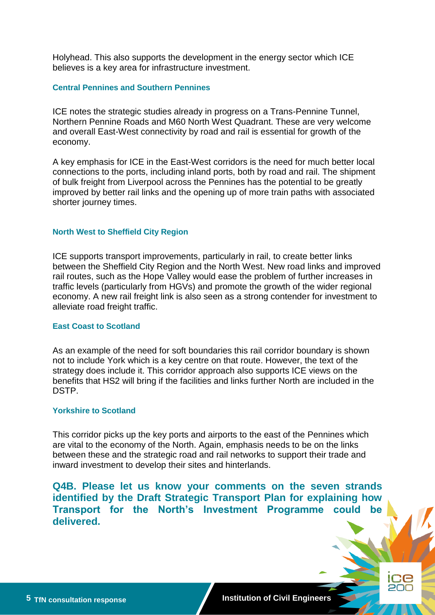Holyhead. This also supports the development in the energy sector which ICE believes is a key area for infrastructure investment.

## **Central Pennines and Southern Pennines**

ICE notes the strategic studies already in progress on a Trans-Pennine Tunnel, Northern Pennine Roads and M60 North West Quadrant. These are very welcome and overall East-West connectivity by road and rail is essential for growth of the economy.

A key emphasis for ICE in the East-West corridors is the need for much better local connections to the ports, including inland ports, both by road and rail. The shipment of bulk freight from Liverpool across the Pennines has the potential to be greatly improved by better rail links and the opening up of more train paths with associated shorter journey times.

#### **North West to Sheffield City Region**

ICE supports transport improvements, particularly in rail, to create better links between the Sheffield City Region and the North West. New road links and improved rail routes, such as the Hope Valley would ease the problem of further increases in traffic levels (particularly from HGVs) and promote the growth of the wider regional economy. A new rail freight link is also seen as a strong contender for investment to alleviate road freight traffic.

#### **East Coast to Scotland**

As an example of the need for soft boundaries this rail corridor boundary is shown not to include York which is a key centre on that route. However, the text of the strategy does include it. This corridor approach also supports ICE views on the benefits that HS2 will bring if the facilities and links further North are included in the DSTP.

#### **Yorkshire to Scotland**

This corridor picks up the key ports and airports to the east of the Pennines which are vital to the economy of the North. Again, emphasis needs to be on the links between these and the strategic road and rail networks to support their trade and inward investment to develop their sites and hinterlands.

**Q4B. Please let us know your comments on the seven strands identified by the Draft Strategic Transport Plan for explaining how Transport for the North's Investment Programme could be delivered.**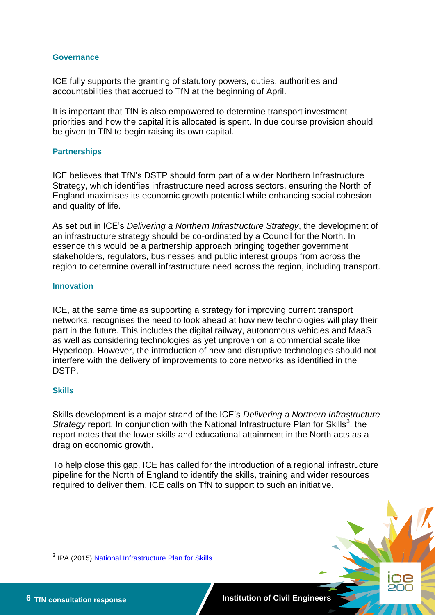### **Governance**

ICE fully supports the granting of statutory powers, duties, authorities and accountabilities that accrued to TfN at the beginning of April.

It is important that TfN is also empowered to determine transport investment priorities and how the capital it is allocated is spent. In due course provision should be given to TfN to begin raising its own capital.

#### **Partnerships**

ICE believes that TfN's DSTP should form part of a wider Northern Infrastructure Strategy, which identifies infrastructure need across sectors, ensuring the North of England maximises its economic growth potential while enhancing social cohesion and quality of life.

As set out in ICE's *Delivering a Northern Infrastructure Strategy*, the development of an infrastructure strategy should be co-ordinated by a Council for the North. In essence this would be a partnership approach bringing together government stakeholders, regulators, businesses and public interest groups from across the region to determine overall infrastructure need across the region, including transport.

## **Innovation**

ICE, at the same time as supporting a strategy for improving current transport networks, recognises the need to look ahead at how new technologies will play their part in the future. This includes the digital railway, autonomous vehicles and MaaS as well as considering technologies as yet unproven on a commercial scale like Hyperloop. However, the introduction of new and disruptive technologies should not interfere with the delivery of improvements to core networks as identified in the DSTP.

#### **Skills**

Skills development is a major strand of the ICE's *Delivering a Northern Infrastructure*  Strategy report. In conjunction with the National Infrastructure Plan for Skills<sup>3</sup>, the report notes that the lower skills and educational attainment in the North acts as a drag on economic growth.

To help close this gap, ICE has called for the introduction of a regional infrastructure pipeline for the North of England to identify the skills, training and wider resources required to deliver them. ICE calls on TfN to support to such an initiative.



-

<sup>&</sup>lt;sup>3</sup> IPA (2015) **National Infrastructure Plan for Skills**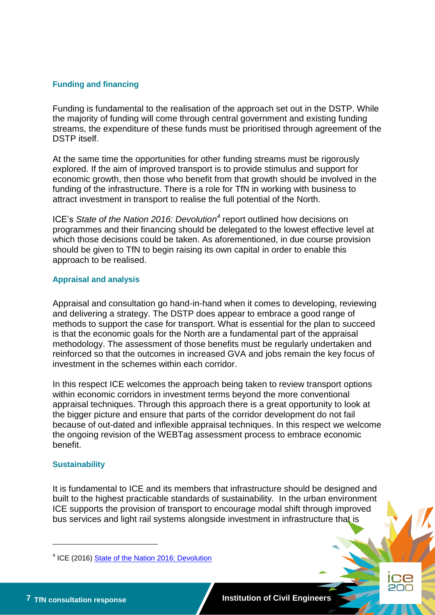## **Funding and financing**

Funding is fundamental to the realisation of the approach set out in the DSTP. While the majority of funding will come through central government and existing funding streams, the expenditure of these funds must be prioritised through agreement of the DSTP itself.

At the same time the opportunities for other funding streams must be rigorously explored. If the aim of improved transport is to provide stimulus and support for economic growth, then those who benefit from that growth should be involved in the funding of the infrastructure. There is a role for TfN in working with business to attract investment in transport to realise the full potential of the North.

ICE's State of the Nation 2016: Devolution<sup>4</sup> report outlined how decisions on programmes and their financing should be delegated to the lowest effective level at which those decisions could be taken. As aforementioned, in due course provision should be given to TfN to begin raising its own capital in order to enable this approach to be realised.

## **Appraisal and analysis**

Appraisal and consultation go hand-in-hand when it comes to developing, reviewing and delivering a strategy. The DSTP does appear to embrace a good range of methods to support the case for transport. What is essential for the plan to succeed is that the economic goals for the North are a fundamental part of the appraisal methodology. The assessment of those benefits must be regularly undertaken and reinforced so that the outcomes in increased GVA and jobs remain the key focus of investment in the schemes within each corridor.

In this respect ICE welcomes the approach being taken to review transport options within economic corridors in investment terms beyond the more conventional appraisal techniques. Through this approach there is a great opportunity to look at the bigger picture and ensure that parts of the corridor development do not fail because of out-dated and inflexible appraisal techniques. In this respect we welcome the ongoing revision of the WEBTag assessment process to embrace economic benefit.

## **Sustainability**

It is fundamental to ICE and its members that infrastructure should be designed and built to the highest practicable standards of sustainability. In the urban environment ICE supports the provision of transport to encourage modal shift through improved bus services and light rail systems alongside investment in infrastructure that is

-

ЭG

<sup>&</sup>lt;sup>4</sup> ICE (2016) **State of the Nation 2016: Devolution**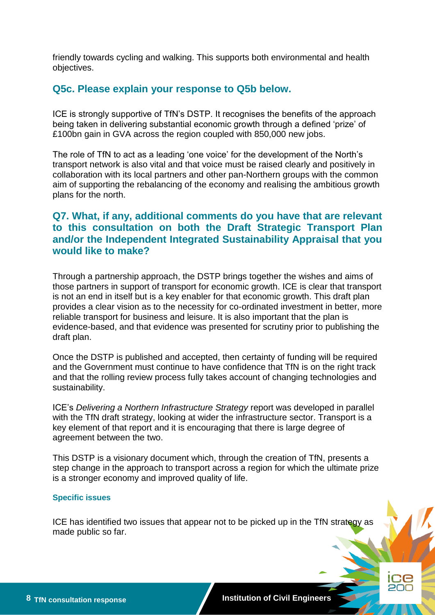friendly towards cycling and walking. This supports both environmental and health objectives.

## **Q5c. Please explain your response to Q5b below.**

ICE is strongly supportive of TfN's DSTP. It recognises the benefits of the approach being taken in delivering substantial economic growth through a defined 'prize' of £100bn gain in GVA across the region coupled with 850,000 new jobs.

The role of TfN to act as a leading 'one voice' for the development of the North's transport network is also vital and that voice must be raised clearly and positively in collaboration with its local partners and other pan-Northern groups with the common aim of supporting the rebalancing of the economy and realising the ambitious growth plans for the north.

# **Q7. What, if any, additional comments do you have that are relevant to this consultation on both the Draft Strategic Transport Plan and/or the Independent Integrated Sustainability Appraisal that you would like to make?**

Through a partnership approach, the DSTP brings together the wishes and aims of those partners in support of transport for economic growth. ICE is clear that transport is not an end in itself but is a key enabler for that economic growth. This draft plan provides a clear vision as to the necessity for co-ordinated investment in better, more reliable transport for business and leisure. It is also important that the plan is evidence-based, and that evidence was presented for scrutiny prior to publishing the draft plan.

Once the DSTP is published and accepted, then certainty of funding will be required and the Government must continue to have confidence that TfN is on the right track and that the rolling review process fully takes account of changing technologies and sustainability.

ICE's *Delivering a Northern Infrastructure Strategy* report was developed in parallel with the TfN draft strategy, looking at wider the infrastructure sector. Transport is a key element of that report and it is encouraging that there is large degree of agreement between the two.

This DSTP is a visionary document which, through the creation of TfN, presents a step change in the approach to transport across a region for which the ultimate prize is a stronger economy and improved quality of life.

#### **Specific issues**

ICE has identified two issues that appear not to be picked up in the TfN strategy as made public so far.